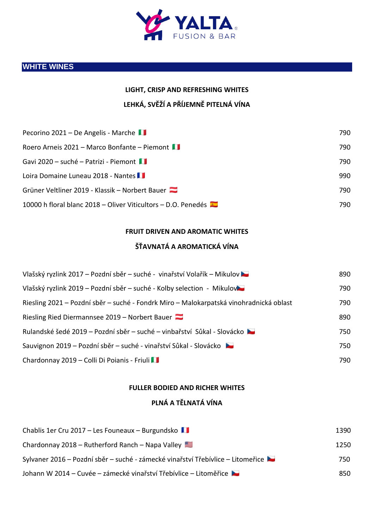

## **WHITE WINES**

# **LIGHT, CRISP AND REFRESHING WHITES LEHKÁ, SVĚŽÍ A PŘÍJEMNĚ PITELNÁ VÍNA**

| Pecorino 2021 – De Angelis - Marche                           | 790. |
|---------------------------------------------------------------|------|
| Roero Arneis 2021 – Marco Bonfante – Piemont                  | 790  |
| Gavi 2020 – suché – Patrizi - Piemont                         | 790  |
| Loira Domaine Luneau 2018 - Nantes                            | 990  |
| Grüner Veltliner 2019 - Klassik – Norbert Bauer               | 790  |
| 10000 h floral blanc 2018 - Oliver Viticultors - D.O. Penedés | 790. |

#### **FRUIT DRIVEN AND AROMATIC WHITES**

### **ŠŤAVNATÁ A AROMATICKÁ VÍNA**

| Vlašský ryzlink 2017 – Pozdní sběr – suché - vinařství Volařík – Mikulov               | 890 |
|----------------------------------------------------------------------------------------|-----|
| Vlašský ryzlink 2019 – Pozdní sběr – suché - Kolby selection - Mikulov                 | 790 |
| Riesling 2021 – Pozdní sběr – suché - Fondrk Miro – Malokarpatská vinohradnická oblast | 790 |
| Riesling Ried Diermannsee $2019$ – Norbert Bauer                                       | 890 |
| Rulandské šedé 2019 – Pozdní sběr – suché – vinbařství Sůkal - Slovácko                | 750 |
| Sauvignon 2019 – Pozdní sběr – suché - vinařství Sůkal - Slovácko                      | 750 |
| Chardonnay 2019 - Colli Di Poianis - Friuli                                            | 790 |

#### **FULLER BODIED AND RICHER WHITES**

#### **PLNÁ A TĚLNATÁ VÍNA**

| Chablis 1er Cru 2017 - Les Founeaux - Burgundsko                                | 1390 |
|---------------------------------------------------------------------------------|------|
| Chardonnay 2018 – Rutherford Ranch – Napa Valley                                | 1250 |
| Sylvaner 2016 – Pozdní sběr – suché - zámecké vinařství Třebívlice – Litomeřice | 750  |
| Johann W 2014 – Cuvée – zámecké vinařství Třebívlice – Litoměřice               | 850  |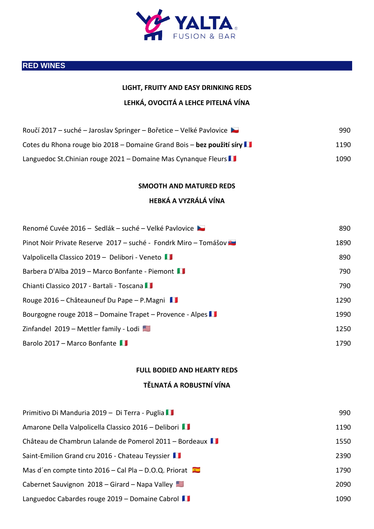

## **RED WINES**

| LIGHT, FRUITY AND EASY DRINKING REDS                                  |      |
|-----------------------------------------------------------------------|------|
| LEHKÁ, OVOCITÁ A LEHCE PITELNÁ VÍNA                                   |      |
| Roučí 2017 – suché – Jaroslav Springer – Bořetice – Velké Pavlovice   | 990  |
| Cotes du Rhona rouge bio 2018 – Domaine Grand Bois – bez použití síry | 1190 |
| Languedoc St. Chinian rouge 2021 – Domaine Mas Cynanque Fleurs        | 1090 |
| <b>SMOOTH AND MATURED REDS</b>                                        |      |
| HEBKÁ A VYZRÁLÁ VÍNA                                                  |      |
| Renomé Cuvée 2016 – Sedlák – suché – Velké Pavlovice                  | 890  |
| Pinot Noir Private Reserve 2017 - suché - Fondrk Miro - Tomášov       | 1890 |
| Valpolicella Classico 2019 - Delibori - Veneto                        | 890  |
| Barbera D'Alba 2019 – Marco Bonfante - Piemont                        | 790  |
| Chianti Classico 2017 - Bartali - Toscana                             | 790  |
| Rouge 2016 – Châteauneuf Du Pape – P.Magni                            | 1290 |
| Bourgogne rouge 2018 – Domaine Trapet – Provence - Alpes              | 1990 |
| Zinfandel 2019 – Mettler family - Lodi                                | 1250 |

# **FULL BODIED AND HEARTY REDS**

Barolo 2017 – Marco Bonfante 11

### **TĚLNATÁ A ROBUSTNÍ VÍNA**

| Primitivo Di Manduria 2019 - Di Terra - Puglia          | 990  |
|---------------------------------------------------------|------|
| Amarone Della Valpolicella Classico 2016 – Delibori     | 1190 |
| Château de Chambrun Lalande de Pomerol 2011 – Bordeaux  | 1550 |
| Saint-Emilion Grand cru 2016 - Chateau Teyssier         | 2390 |
| Mas d'en compte tinto $2016 -$ Cal Pla – D.O.Q. Priorat | 1790 |
| Cabernet Sauvignon 2018 – Girard – Napa Valley          | 2090 |
| Languedoc Cabardes rouge 2019 – Domaine Cabrol          | 1090 |